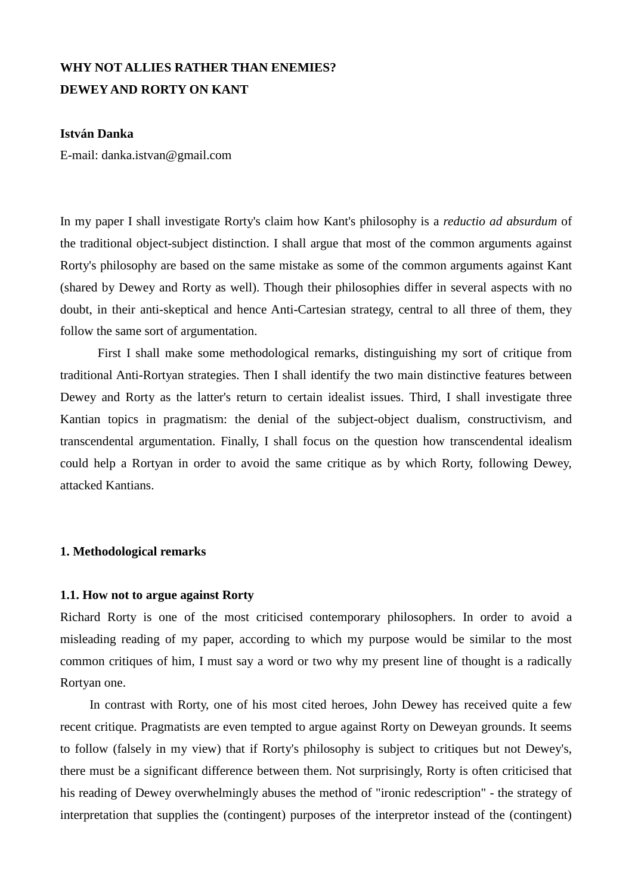# **WHY NOT ALLIES RATHER THAN ENEMIES? DEWEY AND RORTY ON KANT**

## **István Danka**

E-mail: danka.istvan@gmail.com

In my paper I shall investigate Rorty's claim how Kant's philosophy is a *reductio ad absurdum* of the traditional object-subject distinction. I shall argue that most of the common arguments against Rorty's philosophy are based on the same mistake as some of the common arguments against Kant (shared by Dewey and Rorty as well). Though their philosophies differ in several aspects with no doubt, in their anti-skeptical and hence Anti-Cartesian strategy, central to all three of them, they follow the same sort of argumentation.

 First I shall make some methodological remarks, distinguishing my sort of critique from traditional Anti-Rortyan strategies. Then I shall identify the two main distinctive features between Dewey and Rorty as the latter's return to certain idealist issues. Third, I shall investigate three Kantian topics in pragmatism: the denial of the subject-object dualism, constructivism, and transcendental argumentation. Finally, I shall focus on the question how transcendental idealism could help a Rortyan in order to avoid the same critique as by which Rorty, following Dewey, attacked Kantians.

#### **1. Methodological remarks**

#### **1.1. How not to argue against Rorty**

Richard Rorty is one of the most criticised contemporary philosophers. In order to avoid a misleading reading of my paper, according to which my purpose would be similar to the most common critiques of him, I must say a word or two why my present line of thought is a radically Rortyan one.

In contrast with Rorty, one of his most cited heroes, John Dewey has received quite a few recent critique. Pragmatists are even tempted to argue against Rorty on Deweyan grounds. It seems to follow (falsely in my view) that if Rorty's philosophy is subject to critiques but not Dewey's, there must be a significant difference between them. Not surprisingly, Rorty is often criticised that his reading of Dewey overwhelmingly abuses the method of "ironic redescription" - the strategy of interpretation that supplies the (contingent) purposes of the interpretor instead of the (contingent)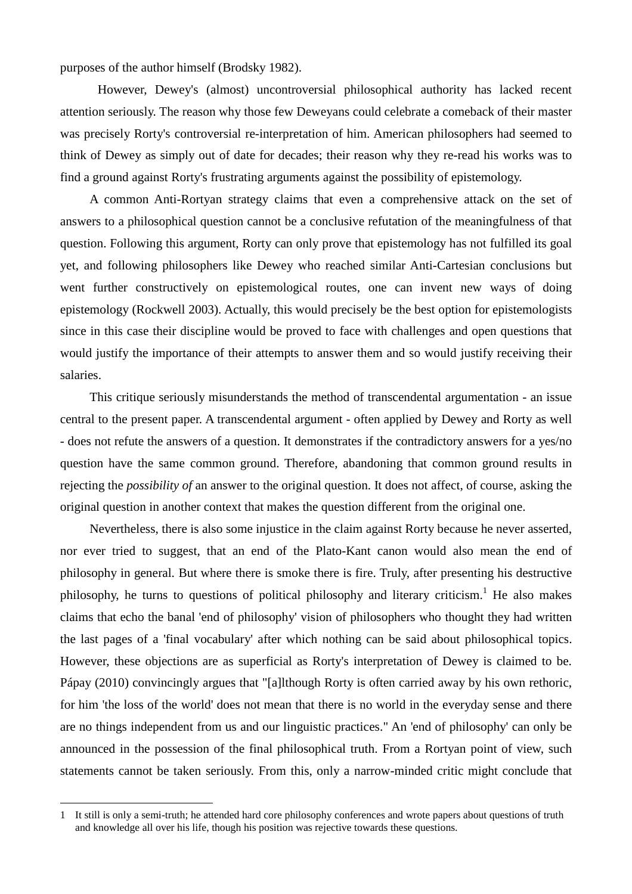purposes of the author himself (Brodsky 1982).

 However, Dewey's (almost) uncontroversial philosophical authority has lacked recent attention seriously. The reason why those few Deweyans could celebrate a comeback of their master was precisely Rorty's controversial re-interpretation of him. American philosophers had seemed to think of Dewey as simply out of date for decades; their reason why they re-read his works was to find a ground against Rorty's frustrating arguments against the possibility of epistemology.

A common Anti-Rortyan strategy claims that even a comprehensive attack on the set of answers to a philosophical question cannot be a conclusive refutation of the meaningfulness of that question. Following this argument, Rorty can only prove that epistemology has not fulfilled its goal yet, and following philosophers like Dewey who reached similar Anti-Cartesian conclusions but went further constructively on epistemological routes, one can invent new ways of doing epistemology (Rockwell 2003). Actually, this would precisely be the best option for epistemologists since in this case their discipline would be proved to face with challenges and open questions that would justify the importance of their attempts to answer them and so would justify receiving their salaries.

This critique seriously misunderstands the method of transcendental argumentation - an issue central to the present paper. A transcendental argument - often applied by Dewey and Rorty as well - does not refute the answers of a question. It demonstrates if the contradictory answers for a yes/no question have the same common ground. Therefore, abandoning that common ground results in rejecting the *possibility of* an answer to the original question. It does not affect, of course, asking the original question in another context that makes the question different from the original one.

Nevertheless, there is also some injustice in the claim against Rorty because he never asserted, nor ever tried to suggest, that an end of the Plato-Kant canon would also mean the end of philosophy in general. But where there is smoke there is fire. Truly, after presenting his destructive philosophy, he turns to questions of political philosophy and literary criticism.<sup>1</sup> He also makes claims that echo the banal 'end of philosophy' vision of philosophers who thought they had written the last pages of a 'final vocabulary' after which nothing can be said about philosophical topics. However, these objections are as superficial as Rorty's interpretation of Dewey is claimed to be. Pápay (2010) convincingly argues that "[a]lthough Rorty is often carried away by his own rethoric, for him 'the loss of the world' does not mean that there is no world in the everyday sense and there are no things independent from us and our linguistic practices." An 'end of philosophy' can only be announced in the possession of the final philosophical truth. From a Rortyan point of view, such statements cannot be taken seriously. From this, only a narrow-minded critic might conclude that

 $\overline{a}$ 

<sup>1</sup> It still is only a semi-truth; he attended hard core philosophy conferences and wrote papers about questions of truth and knowledge all over his life, though his position was rejective towards these questions.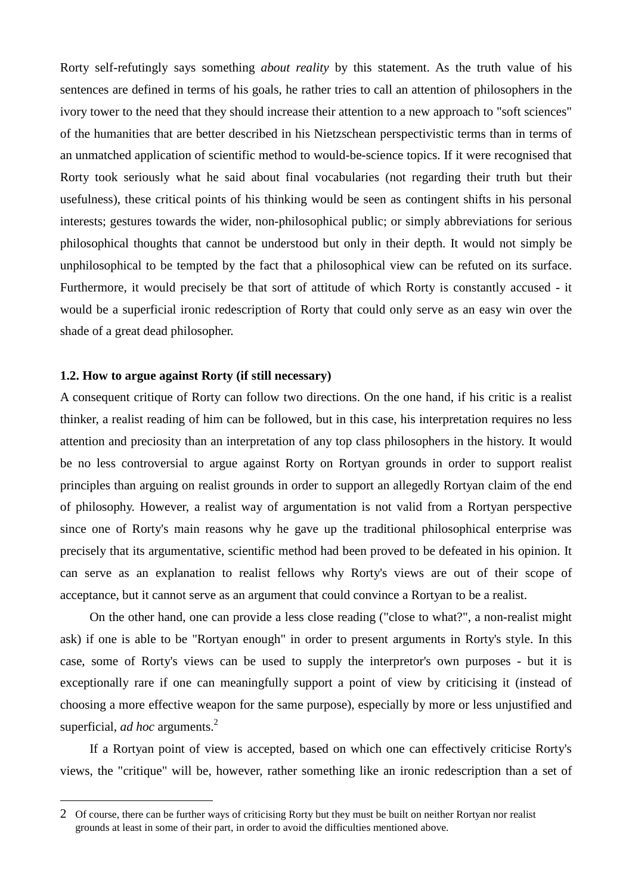Rorty self-refutingly says something *about reality* by this statement. As the truth value of his sentences are defined in terms of his goals, he rather tries to call an attention of philosophers in the ivory tower to the need that they should increase their attention to a new approach to "soft sciences" of the humanities that are better described in his Nietzschean perspectivistic terms than in terms of an unmatched application of scientific method to would-be-science topics. If it were recognised that Rorty took seriously what he said about final vocabularies (not regarding their truth but their usefulness), these critical points of his thinking would be seen as contingent shifts in his personal interests; gestures towards the wider, non-philosophical public; or simply abbreviations for serious philosophical thoughts that cannot be understood but only in their depth. It would not simply be unphilosophical to be tempted by the fact that a philosophical view can be refuted on its surface. Furthermore, it would precisely be that sort of attitude of which Rorty is constantly accused - it would be a superficial ironic redescription of Rorty that could only serve as an easy win over the shade of a great dead philosopher.

### **1.2. How to argue against Rorty (if still necessary)**

 $\overline{a}$ 

A consequent critique of Rorty can follow two directions. On the one hand, if his critic is a realist thinker, a realist reading of him can be followed, but in this case, his interpretation requires no less attention and preciosity than an interpretation of any top class philosophers in the history. It would be no less controversial to argue against Rorty on Rortyan grounds in order to support realist principles than arguing on realist grounds in order to support an allegedly Rortyan claim of the end of philosophy. However, a realist way of argumentation is not valid from a Rortyan perspective since one of Rorty's main reasons why he gave up the traditional philosophical enterprise was precisely that its argumentative, scientific method had been proved to be defeated in his opinion. It can serve as an explanation to realist fellows why Rorty's views are out of their scope of acceptance, but it cannot serve as an argument that could convince a Rortyan to be a realist.

On the other hand, one can provide a less close reading ("close to what?", a non-realist might ask) if one is able to be "Rortyan enough" in order to present arguments in Rorty's style. In this case, some of Rorty's views can be used to supply the interpretor's own purposes - but it is exceptionally rare if one can meaningfully support a point of view by criticising it (instead of choosing a more effective weapon for the same purpose), especially by more or less unjustified and superficial, *ad hoc* arguments.<sup>2</sup>

If a Rortyan point of view is accepted, based on which one can effectively criticise Rorty's views, the "critique" will be, however, rather something like an ironic redescription than a set of

<sup>2</sup> Of course, there can be further ways of criticising Rorty but they must be built on neither Rortyan nor realist grounds at least in some of their part, in order to avoid the difficulties mentioned above.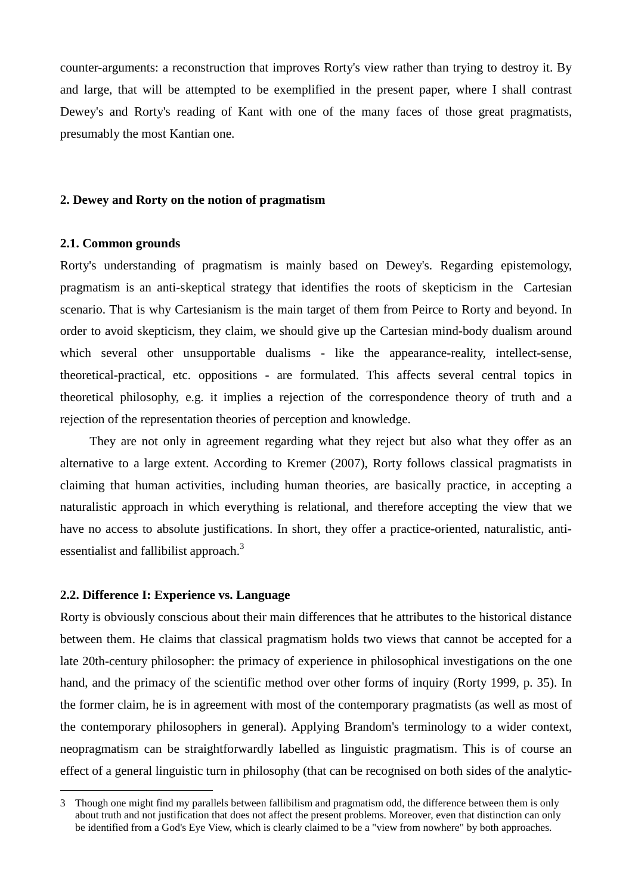counter-arguments: a reconstruction that improves Rorty's view rather than trying to destroy it. By and large, that will be attempted to be exemplified in the present paper, where I shall contrast Dewey's and Rorty's reading of Kant with one of the many faces of those great pragmatists, presumably the most Kantian one.

#### **2. Dewey and Rorty on the notion of pragmatism**

### **2.1. Common grounds**

Rorty's understanding of pragmatism is mainly based on Dewey's. Regarding epistemology, pragmatism is an anti-skeptical strategy that identifies the roots of skepticism in the Cartesian scenario. That is why Cartesianism is the main target of them from Peirce to Rorty and beyond. In order to avoid skepticism, they claim, we should give up the Cartesian mind-body dualism around which several other unsupportable dualisms - like the appearance-reality, intellect-sense, theoretical-practical, etc. oppositions - are formulated. This affects several central topics in theoretical philosophy, e.g. it implies a rejection of the correspondence theory of truth and a rejection of the representation theories of perception and knowledge.

They are not only in agreement regarding what they reject but also what they offer as an alternative to a large extent. According to Kremer (2007), Rorty follows classical pragmatists in claiming that human activities, including human theories, are basically practice, in accepting a naturalistic approach in which everything is relational, and therefore accepting the view that we have no access to absolute justifications. In short, they offer a practice-oriented, naturalistic, antiessentialist and fallibilist approach.<sup>3</sup>

## **2.2. Difference I: Experience vs. Language**

 $\overline{a}$ 

Rorty is obviously conscious about their main differences that he attributes to the historical distance between them. He claims that classical pragmatism holds two views that cannot be accepted for a late 20th-century philosopher: the primacy of experience in philosophical investigations on the one hand, and the primacy of the scientific method over other forms of inquiry (Rorty 1999, p. 35). In the former claim, he is in agreement with most of the contemporary pragmatists (as well as most of the contemporary philosophers in general). Applying Brandom's terminology to a wider context, neopragmatism can be straightforwardly labelled as linguistic pragmatism. This is of course an effect of a general linguistic turn in philosophy (that can be recognised on both sides of the analytic-

<sup>3</sup> Though one might find my parallels between fallibilism and pragmatism odd, the difference between them is only about truth and not justification that does not affect the present problems. Moreover, even that distinction can only be identified from a God's Eye View, which is clearly claimed to be a "view from nowhere" by both approaches.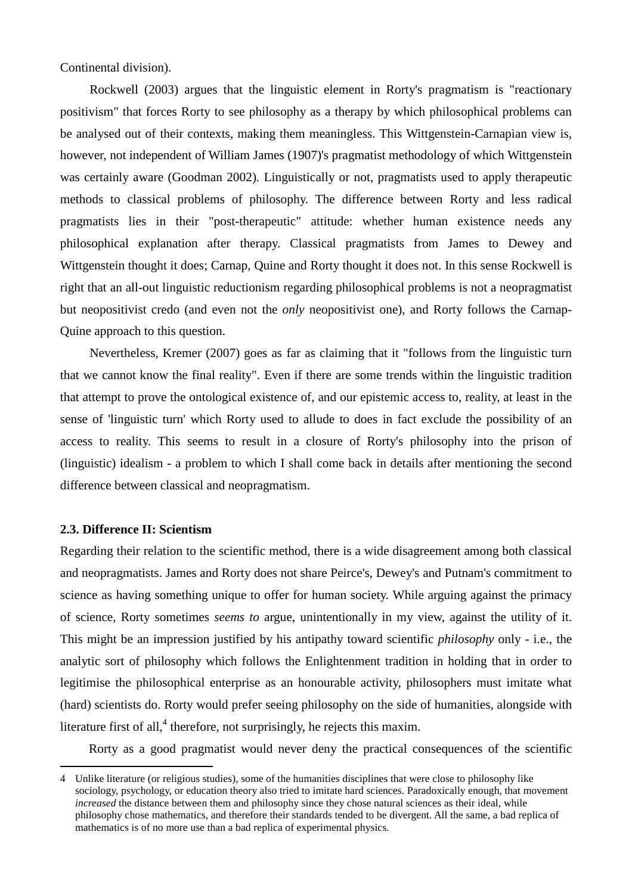Continental division).

Rockwell (2003) argues that the linguistic element in Rorty's pragmatism is "reactionary positivism" that forces Rorty to see philosophy as a therapy by which philosophical problems can be analysed out of their contexts, making them meaningless. This Wittgenstein-Carnapian view is, however, not independent of William James (1907)'s pragmatist methodology of which Wittgenstein was certainly aware (Goodman 2002)*.* Linguistically or not, pragmatists used to apply therapeutic methods to classical problems of philosophy. The difference between Rorty and less radical pragmatists lies in their "post-therapeutic" attitude: whether human existence needs any philosophical explanation after therapy. Classical pragmatists from James to Dewey and Wittgenstein thought it does; Carnap, Quine and Rorty thought it does not. In this sense Rockwell is right that an all-out linguistic reductionism regarding philosophical problems is not a neopragmatist but neopositivist credo (and even not the *only* neopositivist one), and Rorty follows the Carnap-Quine approach to this question.

Nevertheless, Kremer (2007) goes as far as claiming that it "follows from the linguistic turn that we cannot know the final reality". Even if there are some trends within the linguistic tradition that attempt to prove the ontological existence of, and our epistemic access to, reality, at least in the sense of 'linguistic turn' which Rorty used to allude to does in fact exclude the possibility of an access to reality. This seems to result in a closure of Rorty's philosophy into the prison of (linguistic) idealism - a problem to which I shall come back in details after mentioning the second difference between classical and neopragmatism.

## **2.3. Difference II: Scientism**

 $\overline{a}$ 

Regarding their relation to the scientific method, there is a wide disagreement among both classical and neopragmatists. James and Rorty does not share Peirce's, Dewey's and Putnam's commitment to science as having something unique to offer for human society. While arguing against the primacy of science, Rorty sometimes *seems to* argue, unintentionally in my view, against the utility of it. This might be an impression justified by his antipathy toward scientific *philosophy* only - i.e., the analytic sort of philosophy which follows the Enlightenment tradition in holding that in order to legitimise the philosophical enterprise as an honourable activity, philosophers must imitate what (hard) scientists do. Rorty would prefer seeing philosophy on the side of humanities, alongside with literature first of all,<sup>4</sup> therefore, not surprisingly, he rejects this maxim.

Rorty as a good pragmatist would never deny the practical consequences of the scientific

<sup>4</sup> Unlike literature (or religious studies), some of the humanities disciplines that were close to philosophy like sociology, psychology, or education theory also tried to imitate hard sciences. Paradoxically enough, that movement *increased* the distance between them and philosophy since they chose natural sciences as their ideal, while philosophy chose mathematics, and therefore their standards tended to be divergent. All the same, a bad replica of mathematics is of no more use than a bad replica of experimental physics.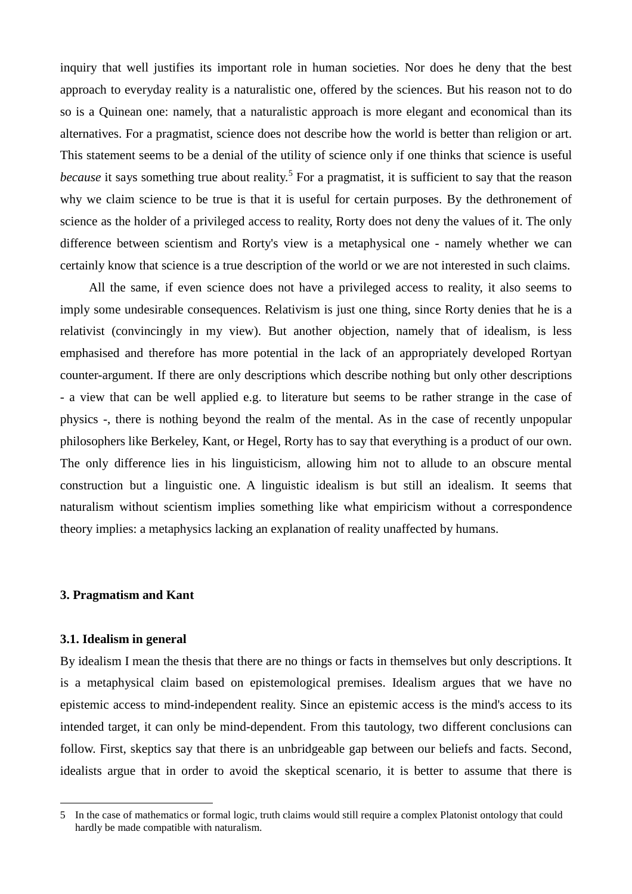inquiry that well justifies its important role in human societies. Nor does he deny that the best approach to everyday reality is a naturalistic one, offered by the sciences. But his reason not to do so is a Quinean one: namely, that a naturalistic approach is more elegant and economical than its alternatives. For a pragmatist, science does not describe how the world is better than religion or art. This statement seems to be a denial of the utility of science only if one thinks that science is useful because it says something true about reality.<sup>5</sup> For a pragmatist, it is sufficient to say that the reason why we claim science to be true is that it is useful for certain purposes. By the dethronement of science as the holder of a privileged access to reality, Rorty does not deny the values of it. The only difference between scientism and Rorty's view is a metaphysical one - namely whether we can certainly know that science is a true description of the world or we are not interested in such claims.

All the same, if even science does not have a privileged access to reality, it also seems to imply some undesirable consequences. Relativism is just one thing, since Rorty denies that he is a relativist (convincingly in my view). But another objection, namely that of idealism, is less emphasised and therefore has more potential in the lack of an appropriately developed Rortyan counter-argument. If there are only descriptions which describe nothing but only other descriptions - a view that can be well applied e.g. to literature but seems to be rather strange in the case of physics -, there is nothing beyond the realm of the mental. As in the case of recently unpopular philosophers like Berkeley, Kant, or Hegel, Rorty has to say that everything is a product of our own. The only difference lies in his linguisticism, allowing him not to allude to an obscure mental construction but a linguistic one. A linguistic idealism is but still an idealism. It seems that naturalism without scientism implies something like what empiricism without a correspondence theory implies: a metaphysics lacking an explanation of reality unaffected by humans.

#### **3. Pragmatism and Kant**

#### **3.1. Idealism in general**

 $\overline{a}$ 

By idealism I mean the thesis that there are no things or facts in themselves but only descriptions. It is a metaphysical claim based on epistemological premises. Idealism argues that we have no epistemic access to mind-independent reality. Since an epistemic access is the mind's access to its intended target, it can only be mind-dependent. From this tautology, two different conclusions can follow. First, skeptics say that there is an unbridgeable gap between our beliefs and facts. Second, idealists argue that in order to avoid the skeptical scenario, it is better to assume that there is

<sup>5</sup> In the case of mathematics or formal logic, truth claims would still require a complex Platonist ontology that could hardly be made compatible with naturalism.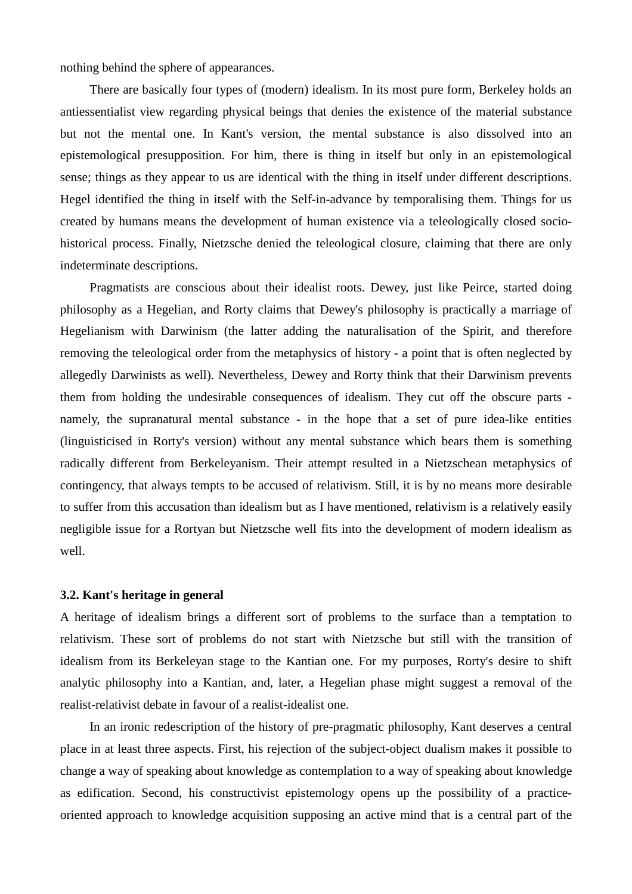nothing behind the sphere of appearances.

There are basically four types of (modern) idealism. In its most pure form, Berkeley holds an antiessentialist view regarding physical beings that denies the existence of the material substance but not the mental one. In Kant's version, the mental substance is also dissolved into an epistemological presupposition. For him, there is thing in itself but only in an epistemological sense; things as they appear to us are identical with the thing in itself under different descriptions. Hegel identified the thing in itself with the Self-in-advance by temporalising them. Things for us created by humans means the development of human existence via a teleologically closed sociohistorical process. Finally, Nietzsche denied the teleological closure, claiming that there are only indeterminate descriptions.

Pragmatists are conscious about their idealist roots. Dewey, just like Peirce, started doing philosophy as a Hegelian, and Rorty claims that Dewey's philosophy is practically a marriage of Hegelianism with Darwinism (the latter adding the naturalisation of the Spirit, and therefore removing the teleological order from the metaphysics of history - a point that is often neglected by allegedly Darwinists as well). Nevertheless, Dewey and Rorty think that their Darwinism prevents them from holding the undesirable consequences of idealism. They cut off the obscure parts namely, the supranatural mental substance - in the hope that a set of pure idea-like entities (linguisticised in Rorty's version) without any mental substance which bears them is something radically different from Berkeleyanism. Their attempt resulted in a Nietzschean metaphysics of contingency, that always tempts to be accused of relativism. Still, it is by no means more desirable to suffer from this accusation than idealism but as I have mentioned, relativism is a relatively easily negligible issue for a Rortyan but Nietzsche well fits into the development of modern idealism as well.

#### **3.2. Kant's heritage in general**

A heritage of idealism brings a different sort of problems to the surface than a temptation to relativism. These sort of problems do not start with Nietzsche but still with the transition of idealism from its Berkeleyan stage to the Kantian one. For my purposes, Rorty's desire to shift analytic philosophy into a Kantian, and, later, a Hegelian phase might suggest a removal of the realist-relativist debate in favour of a realist-idealist one.

In an ironic redescription of the history of pre-pragmatic philosophy, Kant deserves a central place in at least three aspects. First, his rejection of the subject-object dualism makes it possible to change a way of speaking about knowledge as contemplation to a way of speaking about knowledge as edification. Second, his constructivist epistemology opens up the possibility of a practiceoriented approach to knowledge acquisition supposing an active mind that is a central part of the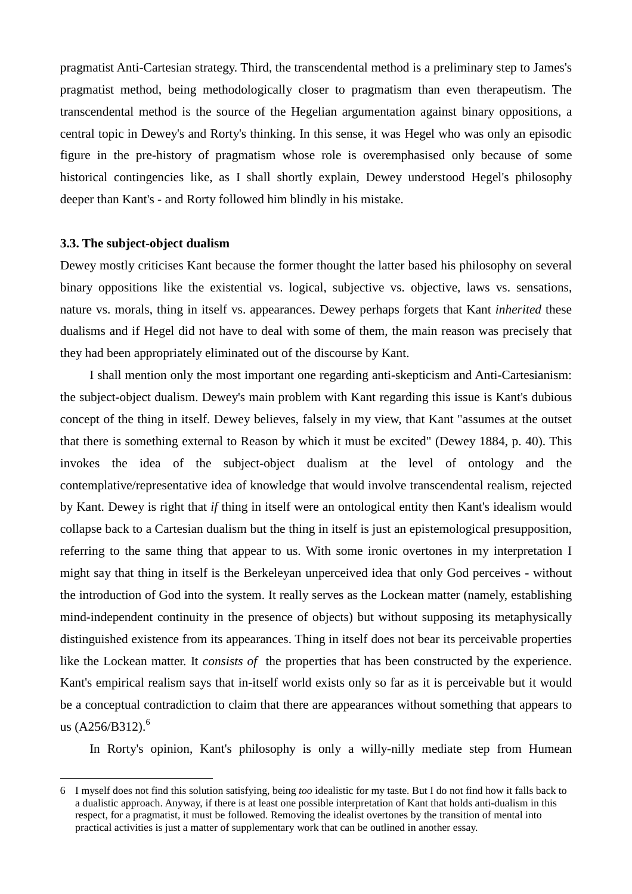pragmatist Anti-Cartesian strategy. Third, the transcendental method is a preliminary step to James's pragmatist method, being methodologically closer to pragmatism than even therapeutism. The transcendental method is the source of the Hegelian argumentation against binary oppositions, a central topic in Dewey's and Rorty's thinking. In this sense, it was Hegel who was only an episodic figure in the pre-history of pragmatism whose role is overemphasised only because of some historical contingencies like, as I shall shortly explain, Dewey understood Hegel's philosophy deeper than Kant's - and Rorty followed him blindly in his mistake.

#### **3.3. The subject-object dualism**

 $\overline{a}$ 

Dewey mostly criticises Kant because the former thought the latter based his philosophy on several binary oppositions like the existential vs. logical, subjective vs. objective, laws vs. sensations, nature vs. morals, thing in itself vs. appearances. Dewey perhaps forgets that Kant *inherited* these dualisms and if Hegel did not have to deal with some of them, the main reason was precisely that they had been appropriately eliminated out of the discourse by Kant.

I shall mention only the most important one regarding anti-skepticism and Anti-Cartesianism: the subject-object dualism. Dewey's main problem with Kant regarding this issue is Kant's dubious concept of the thing in itself. Dewey believes, falsely in my view, that Kant "assumes at the outset that there is something external to Reason by which it must be excited" (Dewey 1884, p. 40). This invokes the idea of the subject-object dualism at the level of ontology and the contemplative/representative idea of knowledge that would involve transcendental realism, rejected by Kant. Dewey is right that *if* thing in itself were an ontological entity then Kant's idealism would collapse back to a Cartesian dualism but the thing in itself is just an epistemological presupposition, referring to the same thing that appear to us. With some ironic overtones in my interpretation I might say that thing in itself is the Berkeleyan unperceived idea that only God perceives - without the introduction of God into the system. It really serves as the Lockean matter (namely, establishing mind-independent continuity in the presence of objects) but without supposing its metaphysically distinguished existence from its appearances. Thing in itself does not bear its perceivable properties like the Lockean matter. It *consists of* the properties that has been constructed by the experience. Kant's empirical realism says that in-itself world exists only so far as it is perceivable but it would be a conceptual contradiction to claim that there are appearances without something that appears to us  $(A256/B312)^6$ 

In Rorty's opinion, Kant's philosophy is only a willy-nilly mediate step from Humean

<sup>6</sup> I myself does not find this solution satisfying, being *too* idealistic for my taste. But I do not find how it falls back to a dualistic approach. Anyway, if there is at least one possible interpretation of Kant that holds anti-dualism in this respect, for a pragmatist, it must be followed. Removing the idealist overtones by the transition of mental into practical activities is just a matter of supplementary work that can be outlined in another essay.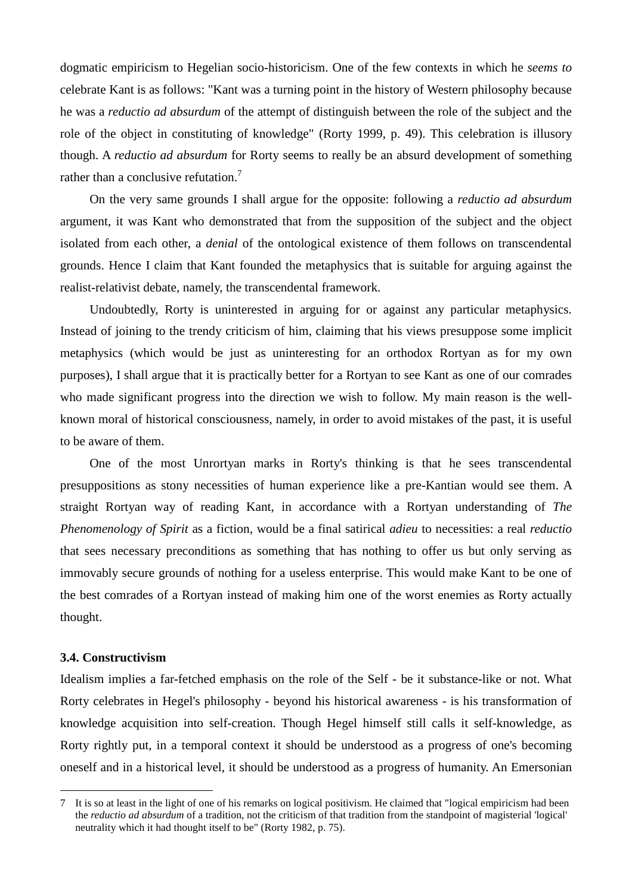dogmatic empiricism to Hegelian socio-historicism. One of the few contexts in which he *seems to* celebrate Kant is as follows: "Kant was a turning point in the history of Western philosophy because he was a *reductio ad absurdum* of the attempt of distinguish between the role of the subject and the role of the object in constituting of knowledge" (Rorty 1999, p. 49). This celebration is illusory though. A *reductio ad absurdum* for Rorty seems to really be an absurd development of something rather than a conclusive refutation.<sup>7</sup>

On the very same grounds I shall argue for the opposite: following a *reductio ad absurdum*  argument, it was Kant who demonstrated that from the supposition of the subject and the object isolated from each other, a *denial* of the ontological existence of them follows on transcendental grounds. Hence I claim that Kant founded the metaphysics that is suitable for arguing against the realist-relativist debate, namely, the transcendental framework.

Undoubtedly, Rorty is uninterested in arguing for or against any particular metaphysics. Instead of joining to the trendy criticism of him, claiming that his views presuppose some implicit metaphysics (which would be just as uninteresting for an orthodox Rortyan as for my own purposes), I shall argue that it is practically better for a Rortyan to see Kant as one of our comrades who made significant progress into the direction we wish to follow. My main reason is the wellknown moral of historical consciousness, namely, in order to avoid mistakes of the past, it is useful to be aware of them.

One of the most Unrortyan marks in Rorty's thinking is that he sees transcendental presuppositions as stony necessities of human experience like a pre-Kantian would see them. A straight Rortyan way of reading Kant, in accordance with a Rortyan understanding of *The Phenomenology of Spirit* as a fiction, would be a final satirical *adieu* to necessities: a real *reductio* that sees necessary preconditions as something that has nothing to offer us but only serving as immovably secure grounds of nothing for a useless enterprise. This would make Kant to be one of the best comrades of a Rortyan instead of making him one of the worst enemies as Rorty actually thought.

## **3.4. Constructivism**

 $\overline{a}$ 

Idealism implies a far-fetched emphasis on the role of the Self - be it substance-like or not. What Rorty celebrates in Hegel's philosophy - beyond his historical awareness - is his transformation of knowledge acquisition into self-creation. Though Hegel himself still calls it self-knowledge, as Rorty rightly put, in a temporal context it should be understood as a progress of one's becoming oneself and in a historical level, it should be understood as a progress of humanity. An Emersonian

<sup>7</sup> It is so at least in the light of one of his remarks on logical positivism. He claimed that "logical empiricism had been the *reductio ad absurdum* of a tradition, not the criticism of that tradition from the standpoint of magisterial 'logical' neutrality which it had thought itself to be" (Rorty 1982, p. 75).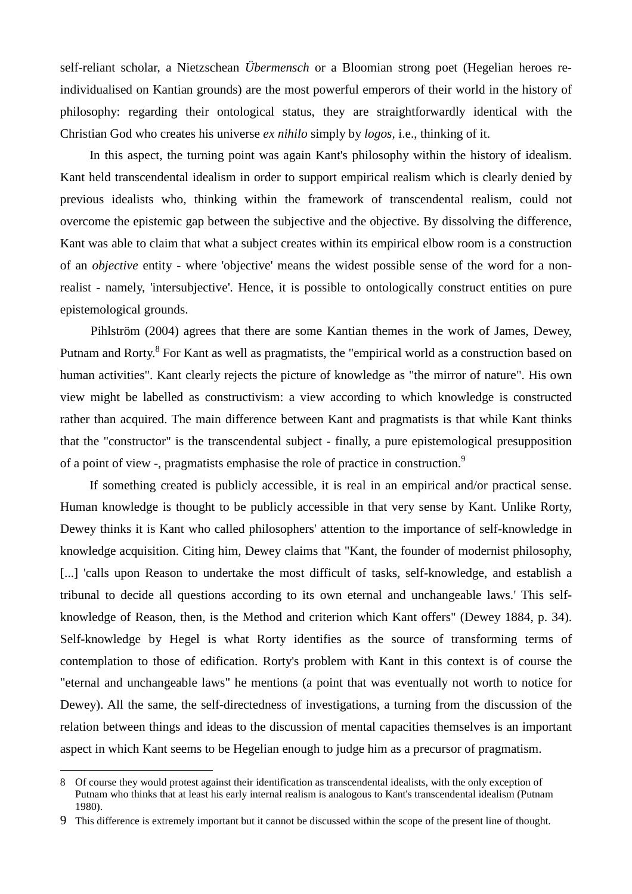self-reliant scholar, a Nietzschean *Übermensch* or a Bloomian strong poet (Hegelian heroes reindividualised on Kantian grounds) are the most powerful emperors of their world in the history of philosophy: regarding their ontological status, they are straightforwardly identical with the Christian God who creates his universe *ex nihilo* simply by *logos,* i.e., thinking of it.

In this aspect, the turning point was again Kant's philosophy within the history of idealism. Kant held transcendental idealism in order to support empirical realism which is clearly denied by previous idealists who, thinking within the framework of transcendental realism, could not overcome the epistemic gap between the subjective and the objective. By dissolving the difference, Kant was able to claim that what a subject creates within its empirical elbow room is a construction of an *objective* entity - where 'objective' means the widest possible sense of the word for a nonrealist - namely, 'intersubjective'. Hence, it is possible to ontologically construct entities on pure epistemological grounds.

Pihlström (2004) agrees that there are some Kantian themes in the work of James, Dewey, Putnam and Rorty.<sup>8</sup> For Kant as well as pragmatists, the "empirical world as a construction based on human activities". Kant clearly rejects the picture of knowledge as "the mirror of nature". His own view might be labelled as constructivism: a view according to which knowledge is constructed rather than acquired. The main difference between Kant and pragmatists is that while Kant thinks that the "constructor" is the transcendental subject - finally, a pure epistemological presupposition of a point of view -, pragmatists emphasise the role of practice in construction.<sup>9</sup>

If something created is publicly accessible, it is real in an empirical and/or practical sense. Human knowledge is thought to be publicly accessible in that very sense by Kant. Unlike Rorty, Dewey thinks it is Kant who called philosophers' attention to the importance of self-knowledge in knowledge acquisition. Citing him, Dewey claims that "Kant, the founder of modernist philosophy, [...] 'calls upon Reason to undertake the most difficult of tasks, self-knowledge, and establish a tribunal to decide all questions according to its own eternal and unchangeable laws.' This selfknowledge of Reason, then, is the Method and criterion which Kant offers" (Dewey 1884, p. 34). Self-knowledge by Hegel is what Rorty identifies as the source of transforming terms of contemplation to those of edification. Rorty's problem with Kant in this context is of course the "eternal and unchangeable laws" he mentions (a point that was eventually not worth to notice for Dewey). All the same, the self-directedness of investigations, a turning from the discussion of the relation between things and ideas to the discussion of mental capacities themselves is an important aspect in which Kant seems to be Hegelian enough to judge him as a precursor of pragmatism.

 $\overline{a}$ 

<sup>8</sup> Of course they would protest against their identification as transcendental idealists, with the only exception of Putnam who thinks that at least his early internal realism is analogous to Kant's transcendental idealism (Putnam 1980).

<sup>9</sup> This difference is extremely important but it cannot be discussed within the scope of the present line of thought.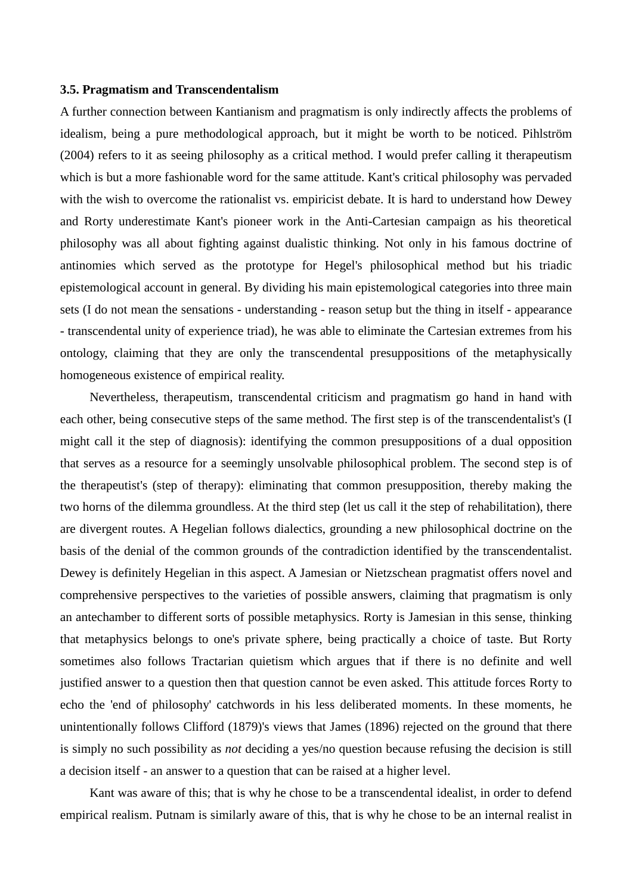#### **3.5. Pragmatism and Transcendentalism**

A further connection between Kantianism and pragmatism is only indirectly affects the problems of idealism, being a pure methodological approach, but it might be worth to be noticed. Pihlström (2004) refers to it as seeing philosophy as a critical method. I would prefer calling it therapeutism which is but a more fashionable word for the same attitude. Kant's critical philosophy was pervaded with the wish to overcome the rationalist vs. empiricist debate. It is hard to understand how Dewey and Rorty underestimate Kant's pioneer work in the Anti-Cartesian campaign as his theoretical philosophy was all about fighting against dualistic thinking. Not only in his famous doctrine of antinomies which served as the prototype for Hegel's philosophical method but his triadic epistemological account in general. By dividing his main epistemological categories into three main sets (I do not mean the sensations - understanding - reason setup but the thing in itself - appearance - transcendental unity of experience triad), he was able to eliminate the Cartesian extremes from his ontology, claiming that they are only the transcendental presuppositions of the metaphysically homogeneous existence of empirical reality.

Nevertheless, therapeutism, transcendental criticism and pragmatism go hand in hand with each other, being consecutive steps of the same method. The first step is of the transcendentalist's (I might call it the step of diagnosis): identifying the common presuppositions of a dual opposition that serves as a resource for a seemingly unsolvable philosophical problem. The second step is of the therapeutist's (step of therapy): eliminating that common presupposition, thereby making the two horns of the dilemma groundless. At the third step (let us call it the step of rehabilitation), there are divergent routes. A Hegelian follows dialectics, grounding a new philosophical doctrine on the basis of the denial of the common grounds of the contradiction identified by the transcendentalist. Dewey is definitely Hegelian in this aspect. A Jamesian or Nietzschean pragmatist offers novel and comprehensive perspectives to the varieties of possible answers, claiming that pragmatism is only an antechamber to different sorts of possible metaphysics. Rorty is Jamesian in this sense, thinking that metaphysics belongs to one's private sphere, being practically a choice of taste. But Rorty sometimes also follows Tractarian quietism which argues that if there is no definite and well justified answer to a question then that question cannot be even asked. This attitude forces Rorty to echo the 'end of philosophy' catchwords in his less deliberated moments. In these moments, he unintentionally follows Clifford (1879)'s views that James (1896) rejected on the ground that there is simply no such possibility as *not* deciding a yes/no question because refusing the decision is still a decision itself - an answer to a question that can be raised at a higher level.

Kant was aware of this; that is why he chose to be a transcendental idealist, in order to defend empirical realism. Putnam is similarly aware of this, that is why he chose to be an internal realist in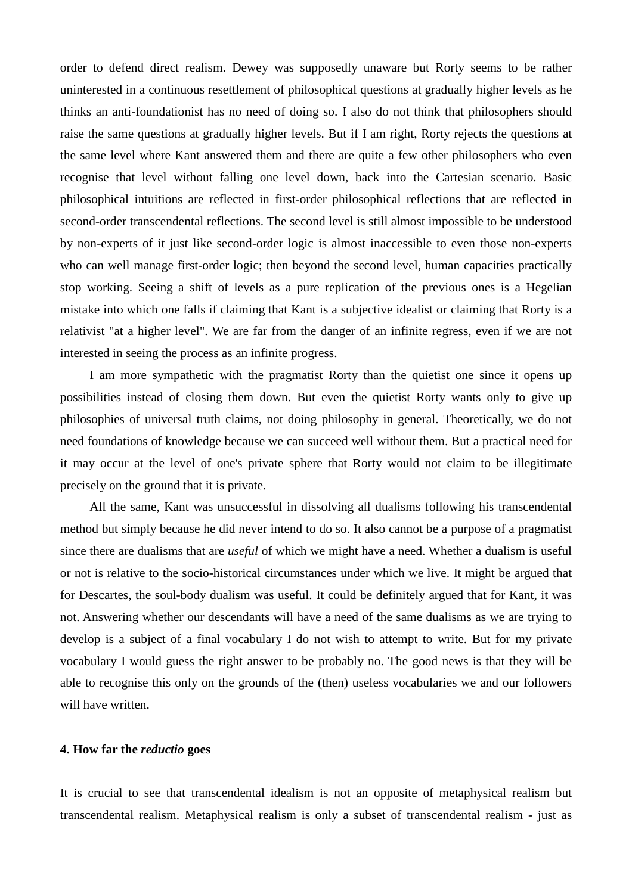order to defend direct realism. Dewey was supposedly unaware but Rorty seems to be rather uninterested in a continuous resettlement of philosophical questions at gradually higher levels as he thinks an anti-foundationist has no need of doing so. I also do not think that philosophers should raise the same questions at gradually higher levels. But if I am right, Rorty rejects the questions at the same level where Kant answered them and there are quite a few other philosophers who even recognise that level without falling one level down, back into the Cartesian scenario. Basic philosophical intuitions are reflected in first-order philosophical reflections that are reflected in second-order transcendental reflections. The second level is still almost impossible to be understood by non-experts of it just like second-order logic is almost inaccessible to even those non-experts who can well manage first-order logic; then beyond the second level, human capacities practically stop working. Seeing a shift of levels as a pure replication of the previous ones is a Hegelian mistake into which one falls if claiming that Kant is a subjective idealist or claiming that Rorty is a relativist "at a higher level". We are far from the danger of an infinite regress, even if we are not interested in seeing the process as an infinite progress.

I am more sympathetic with the pragmatist Rorty than the quietist one since it opens up possibilities instead of closing them down. But even the quietist Rorty wants only to give up philosophies of universal truth claims, not doing philosophy in general. Theoretically, we do not need foundations of knowledge because we can succeed well without them. But a practical need for it may occur at the level of one's private sphere that Rorty would not claim to be illegitimate precisely on the ground that it is private.

All the same, Kant was unsuccessful in dissolving all dualisms following his transcendental method but simply because he did never intend to do so. It also cannot be a purpose of a pragmatist since there are dualisms that are *useful* of which we might have a need. Whether a dualism is useful or not is relative to the socio-historical circumstances under which we live. It might be argued that for Descartes, the soul-body dualism was useful. It could be definitely argued that for Kant, it was not. Answering whether our descendants will have a need of the same dualisms as we are trying to develop is a subject of a final vocabulary I do not wish to attempt to write. But for my private vocabulary I would guess the right answer to be probably no. The good news is that they will be able to recognise this only on the grounds of the (then) useless vocabularies we and our followers will have written.

## **4. How far the** *reductio* **goes**

It is crucial to see that transcendental idealism is not an opposite of metaphysical realism but transcendental realism. Metaphysical realism is only a subset of transcendental realism - just as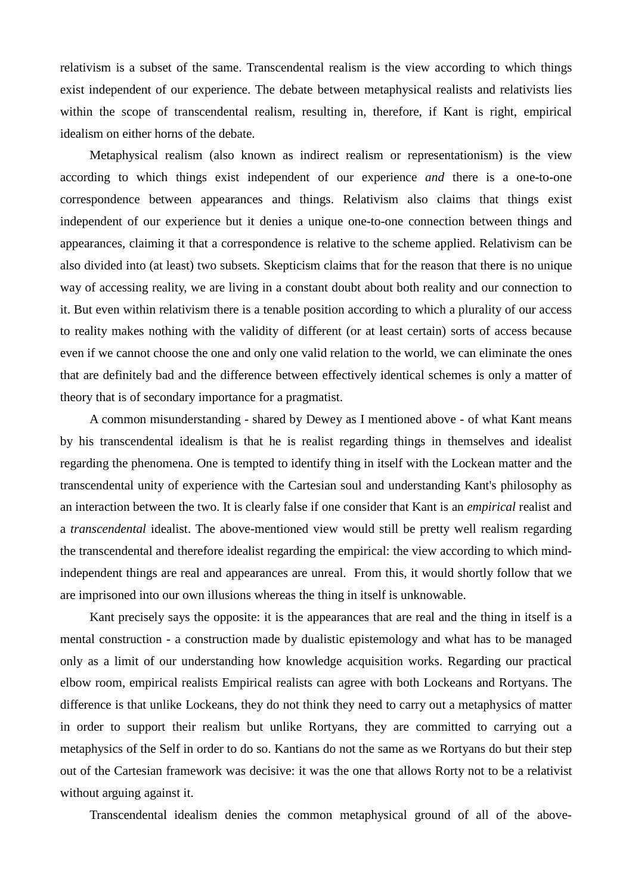relativism is a subset of the same. Transcendental realism is the view according to which things exist independent of our experience. The debate between metaphysical realists and relativists lies within the scope of transcendental realism, resulting in, therefore, if Kant is right, empirical idealism on either horns of the debate.

Metaphysical realism (also known as indirect realism or representationism) is the view according to which things exist independent of our experience *and* there is a one-to-one correspondence between appearances and things. Relativism also claims that things exist independent of our experience but it denies a unique one-to-one connection between things and appearances, claiming it that a correspondence is relative to the scheme applied. Relativism can be also divided into (at least) two subsets. Skepticism claims that for the reason that there is no unique way of accessing reality, we are living in a constant doubt about both reality and our connection to it. But even within relativism there is a tenable position according to which a plurality of our access to reality makes nothing with the validity of different (or at least certain) sorts of access because even if we cannot choose the one and only one valid relation to the world, we can eliminate the ones that are definitely bad and the difference between effectively identical schemes is only a matter of theory that is of secondary importance for a pragmatist.

A common misunderstanding - shared by Dewey as I mentioned above - of what Kant means by his transcendental idealism is that he is realist regarding things in themselves and idealist regarding the phenomena. One is tempted to identify thing in itself with the Lockean matter and the transcendental unity of experience with the Cartesian soul and understanding Kant's philosophy as an interaction between the two. It is clearly false if one consider that Kant is an *empirical* realist and a *transcendental* idealist. The above-mentioned view would still be pretty well realism regarding the transcendental and therefore idealist regarding the empirical: the view according to which mindindependent things are real and appearances are unreal. From this, it would shortly follow that we are imprisoned into our own illusions whereas the thing in itself is unknowable.

Kant precisely says the opposite: it is the appearances that are real and the thing in itself is a mental construction - a construction made by dualistic epistemology and what has to be managed only as a limit of our understanding how knowledge acquisition works. Regarding our practical elbow room, empirical realists Empirical realists can agree with both Lockeans and Rortyans. The difference is that unlike Lockeans, they do not think they need to carry out a metaphysics of matter in order to support their realism but unlike Rortyans, they are committed to carrying out a metaphysics of the Self in order to do so. Kantians do not the same as we Rortyans do but their step out of the Cartesian framework was decisive: it was the one that allows Rorty not to be a relativist without arguing against it.

Transcendental idealism denies the common metaphysical ground of all of the above-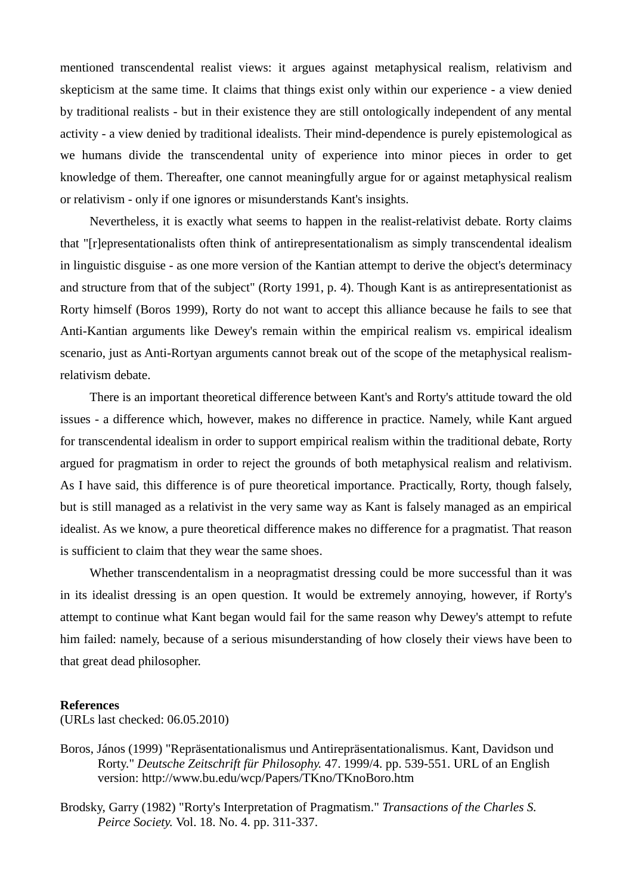mentioned transcendental realist views: it argues against metaphysical realism, relativism and skepticism at the same time. It claims that things exist only within our experience - a view denied by traditional realists - but in their existence they are still ontologically independent of any mental activity - a view denied by traditional idealists. Their mind-dependence is purely epistemological as we humans divide the transcendental unity of experience into minor pieces in order to get knowledge of them. Thereafter, one cannot meaningfully argue for or against metaphysical realism or relativism - only if one ignores or misunderstands Kant's insights.

Nevertheless, it is exactly what seems to happen in the realist-relativist debate. Rorty claims that "[r]epresentationalists often think of antirepresentationalism as simply transcendental idealism in linguistic disguise - as one more version of the Kantian attempt to derive the object's determinacy and structure from that of the subject" (Rorty 1991, p. 4). Though Kant is as antirepresentationist as Rorty himself (Boros 1999), Rorty do not want to accept this alliance because he fails to see that Anti-Kantian arguments like Dewey's remain within the empirical realism vs. empirical idealism scenario, just as Anti-Rortyan arguments cannot break out of the scope of the metaphysical realismrelativism debate.

There is an important theoretical difference between Kant's and Rorty's attitude toward the old issues - a difference which, however, makes no difference in practice. Namely, while Kant argued for transcendental idealism in order to support empirical realism within the traditional debate, Rorty argued for pragmatism in order to reject the grounds of both metaphysical realism and relativism. As I have said, this difference is of pure theoretical importance. Practically, Rorty, though falsely, but is still managed as a relativist in the very same way as Kant is falsely managed as an empirical idealist. As we know, a pure theoretical difference makes no difference for a pragmatist. That reason is sufficient to claim that they wear the same shoes.

Whether transcendentalism in a neopragmatist dressing could be more successful than it was in its idealist dressing is an open question. It would be extremely annoying, however, if Rorty's attempt to continue what Kant began would fail for the same reason why Dewey's attempt to refute him failed: namely, because of a serious misunderstanding of how closely their views have been to that great dead philosopher.

#### **References**

(URLs last checked: 06.05.2010)

- Boros, János (1999) "Repräsentationalismus und Antirepräsentationalismus. Kant, Davidson und Rorty." *Deutsche Zeitschrift für Philosophy.* 47. 1999/4. pp. 539-551. URL of an English version: http://www.bu.edu/wcp/Papers/TKno/TKnoBoro.htm
- Brodsky, Garry (1982) "Rorty's Interpretation of Pragmatism." *Transactions of the Charles S. Peirce Society.* Vol. 18. No. 4. pp. 311-337.